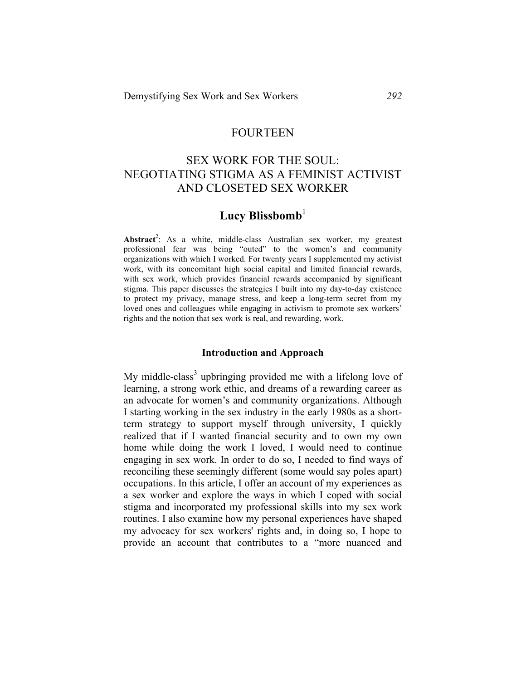## FOURTEEN

## SEX WORK FOR THE SOUL: NEGOTIATING STIGMA AS A FEMINIST ACTIVIST AND CLOSETED SEX WORKER

# Lucy Blissbomb<sup>1</sup>

Abstract<sup>2</sup>: As a white, middle-class Australian sex worker, my greatest professional fear was being "outed" to the women's and community organizations with which I worked. For twenty years I supplemented my activist work, with its concomitant high social capital and limited financial rewards, with sex work, which provides financial rewards accompanied by significant stigma. This paper discusses the strategies I built into my day-to-day existence to protect my privacy, manage stress, and keep a long-term secret from my loved ones and colleagues while engaging in activism to promote sex workers' rights and the notion that sex work is real, and rewarding, work.

#### **Introduction and Approach**

My middle-class<sup>3</sup> upbringing provided me with a lifelong love of learning, a strong work ethic, and dreams of a rewarding career as an advocate for women's and community organizations. Although I starting working in the sex industry in the early 1980s as a shortterm strategy to support myself through university, I quickly realized that if I wanted financial security and to own my own home while doing the work I loved, I would need to continue engaging in sex work. In order to do so, I needed to find ways of reconciling these seemingly different (some would say poles apart) occupations. In this article, I offer an account of my experiences as a sex worker and explore the ways in which I coped with social stigma and incorporated my professional skills into my sex work routines. I also examine how my personal experiences have shaped my advocacy for sex workers' rights and, in doing so, I hope to provide an account that contributes to a "more nuanced and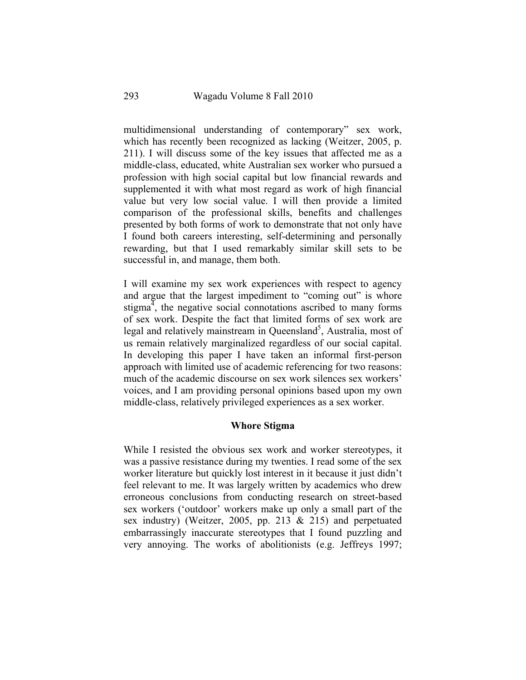multidimensional understanding of contemporary" sex work, which has recently been recognized as lacking (Weitzer, 2005, p. 211). I will discuss some of the key issues that affected me as a middle-class, educated, white Australian sex worker who pursued a profession with high social capital but low financial rewards and supplemented it with what most regard as work of high financial value but very low social value. I will then provide a limited comparison of the professional skills, benefits and challenges presented by both forms of work to demonstrate that not only have I found both careers interesting, self-determining and personally rewarding, but that I used remarkably similar skill sets to be successful in, and manage, them both.

I will examine my sex work experiences with respect to agency and argue that the largest impediment to "coming out" is whore stigma<sup> $\frac{3}{4}$ </sup>, the negative social connotations ascribed to many forms of sex work. Despite the fact that limited forms of sex work are legal and relatively mainstream in Queensland<sup>5</sup>, Australia, most of us remain relatively marginalized regardless of our social capital. In developing this paper I have taken an informal first-person approach with limited use of academic referencing for two reasons: much of the academic discourse on sex work silences sex workers' voices, and I am providing personal opinions based upon my own middle-class, relatively privileged experiences as a sex worker.

### **Whore Stigma**

While I resisted the obvious sex work and worker stereotypes, it was a passive resistance during my twenties. I read some of the sex worker literature but quickly lost interest in it because it just didn't feel relevant to me. It was largely written by academics who drew erroneous conclusions from conducting research on street-based sex workers ('outdoor' workers make up only a small part of the sex industry) (Weitzer, 2005, pp. 213 & 215) and perpetuated embarrassingly inaccurate stereotypes that I found puzzling and very annoying. The works of abolitionists (e.g. Jeffreys 1997;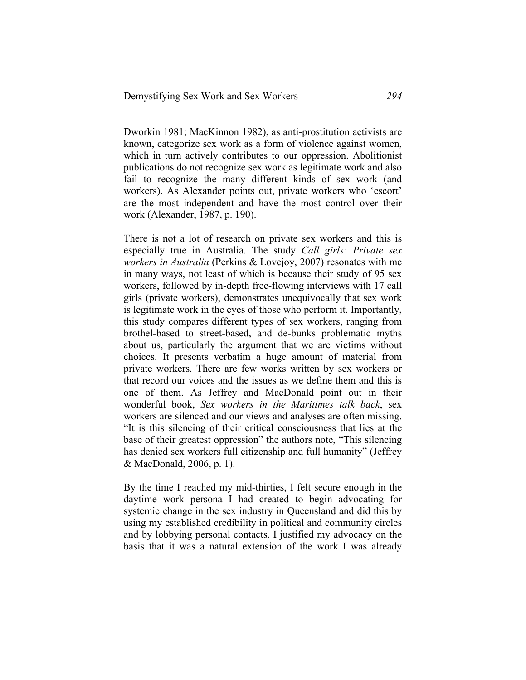Dworkin 1981; MacKinnon 1982), as anti-prostitution activists are known, categorize sex work as a form of violence against women, which in turn actively contributes to our oppression. Abolitionist publications do not recognize sex work as legitimate work and also fail to recognize the many different kinds of sex work (and workers). As Alexander points out, private workers who 'escort' are the most independent and have the most control over their work (Alexander, 1987, p. 190).

There is not a lot of research on private sex workers and this is especially true in Australia. The study *Call girls: Private sex workers in Australia* (Perkins & Lovejoy, 2007) resonates with me in many ways, not least of which is because their study of 95 sex workers, followed by in-depth free-flowing interviews with 17 call girls (private workers), demonstrates unequivocally that sex work is legitimate work in the eyes of those who perform it. Importantly, this study compares different types of sex workers, ranging from brothel-based to street-based, and de-bunks problematic myths about us, particularly the argument that we are victims without choices. It presents verbatim a huge amount of material from private workers. There are few works written by sex workers or that record our voices and the issues as we define them and this is one of them. As Jeffrey and MacDonald point out in their wonderful book, *Sex workers in the Maritimes talk back*, sex workers are silenced and our views and analyses are often missing. "It is this silencing of their critical consciousness that lies at the base of their greatest oppression" the authors note, "This silencing has denied sex workers full citizenship and full humanity" (Jeffrey & MacDonald, 2006, p. 1).

By the time I reached my mid-thirties, I felt secure enough in the daytime work persona I had created to begin advocating for systemic change in the sex industry in Queensland and did this by using my established credibility in political and community circles and by lobbying personal contacts. I justified my advocacy on the basis that it was a natural extension of the work I was already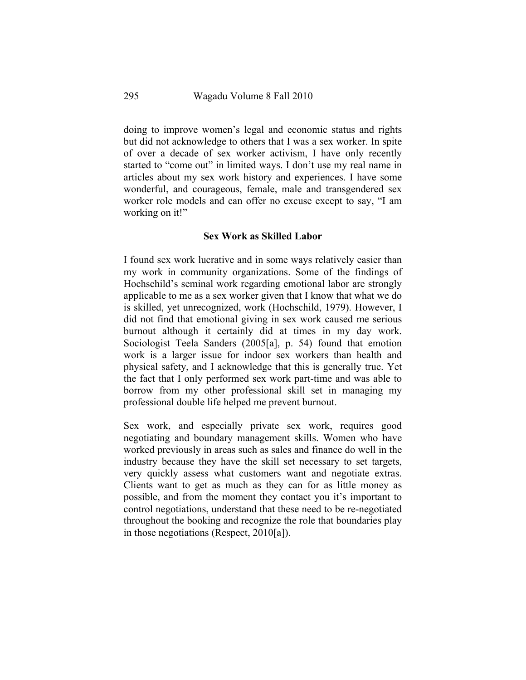doing to improve women's legal and economic status and rights but did not acknowledge to others that I was a sex worker. In spite of over a decade of sex worker activism, I have only recently started to "come out" in limited ways. I don't use my real name in articles about my sex work history and experiences. I have some wonderful, and courageous, female, male and transgendered sex worker role models and can offer no excuse except to say, "I am working on it!"

### **Sex Work as Skilled Labor**

I found sex work lucrative and in some ways relatively easier than my work in community organizations. Some of the findings of Hochschild's seminal work regarding emotional labor are strongly applicable to me as a sex worker given that I know that what we do is skilled, yet unrecognized, work (Hochschild, 1979). However, I did not find that emotional giving in sex work caused me serious burnout although it certainly did at times in my day work. Sociologist Teela Sanders (2005[a], p. 54) found that emotion work is a larger issue for indoor sex workers than health and physical safety, and I acknowledge that this is generally true. Yet the fact that I only performed sex work part-time and was able to borrow from my other professional skill set in managing my professional double life helped me prevent burnout.

Sex work, and especially private sex work, requires good negotiating and boundary management skills. Women who have worked previously in areas such as sales and finance do well in the industry because they have the skill set necessary to set targets, very quickly assess what customers want and negotiate extras. Clients want to get as much as they can for as little money as possible, and from the moment they contact you it's important to control negotiations, understand that these need to be re-negotiated throughout the booking and recognize the role that boundaries play in those negotiations (Respect, 2010[a]).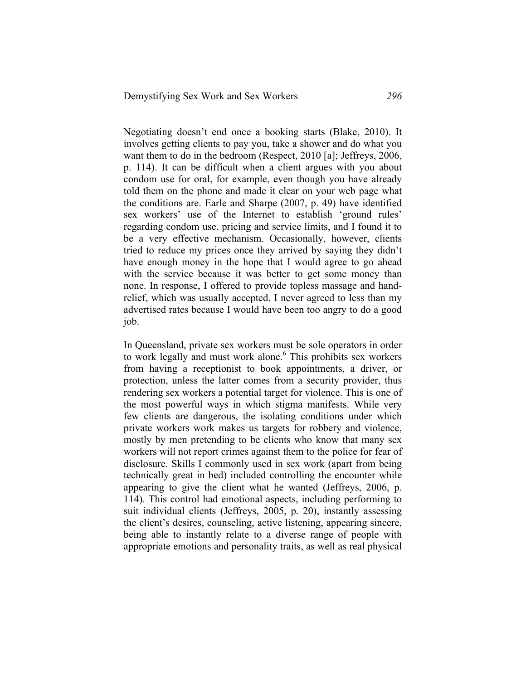Negotiating doesn't end once a booking starts (Blake, 2010). It involves getting clients to pay you, take a shower and do what you want them to do in the bedroom (Respect, 2010 [a]; Jeffreys, 2006, p. 114). It can be difficult when a client argues with you about condom use for oral, for example, even though you have already told them on the phone and made it clear on your web page what the conditions are. Earle and Sharpe (2007, p. 49) have identified sex workers' use of the Internet to establish 'ground rules' regarding condom use, pricing and service limits, and I found it to be a very effective mechanism. Occasionally, however, clients tried to reduce my prices once they arrived by saying they didn't have enough money in the hope that I would agree to go ahead with the service because it was better to get some money than none. In response, I offered to provide topless massage and handrelief, which was usually accepted. I never agreed to less than my advertised rates because I would have been too angry to do a good job.

In Queensland, private sex workers must be sole operators in order to work legally and must work alone.<sup>6</sup> This prohibits sex workers from having a receptionist to book appointments, a driver, or protection, unless the latter comes from a security provider, thus rendering sex workers a potential target for violence. This is one of the most powerful ways in which stigma manifests. While very few clients are dangerous, the isolating conditions under which private workers work makes us targets for robbery and violence, mostly by men pretending to be clients who know that many sex workers will not report crimes against them to the police for fear of disclosure. Skills I commonly used in sex work (apart from being technically great in bed) included controlling the encounter while appearing to give the client what he wanted (Jeffreys, 2006, p. 114). This control had emotional aspects, including performing to suit individual clients (Jeffreys, 2005, p. 20), instantly assessing the client's desires, counseling, active listening, appearing sincere, being able to instantly relate to a diverse range of people with appropriate emotions and personality traits, as well as real physical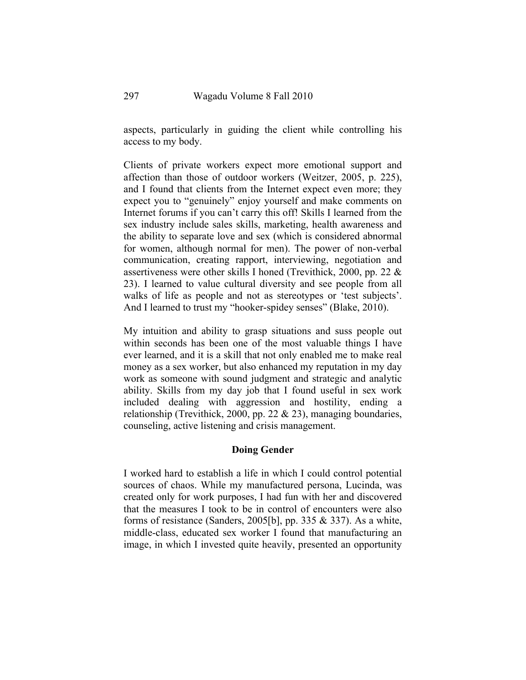aspects, particularly in guiding the client while controlling his access to my body.

Clients of private workers expect more emotional support and affection than those of outdoor workers (Weitzer, 2005, p. 225), and I found that clients from the Internet expect even more; they expect you to "genuinely" enjoy yourself and make comments on Internet forums if you can't carry this off! Skills I learned from the sex industry include sales skills, marketing, health awareness and the ability to separate love and sex (which is considered abnormal for women, although normal for men). The power of non-verbal communication, creating rapport, interviewing, negotiation and assertiveness were other skills I honed (Trevithick, 2000, pp. 22 & 23). I learned to value cultural diversity and see people from all walks of life as people and not as stereotypes or 'test subjects'. And I learned to trust my "hooker-spidey senses" (Blake, 2010).

My intuition and ability to grasp situations and suss people out within seconds has been one of the most valuable things I have ever learned, and it is a skill that not only enabled me to make real money as a sex worker, but also enhanced my reputation in my day work as someone with sound judgment and strategic and analytic ability. Skills from my day job that I found useful in sex work included dealing with aggression and hostility, ending a relationship (Trevithick, 2000, pp. 22  $\&$  23), managing boundaries, counseling, active listening and crisis management.

### **Doing Gender**

I worked hard to establish a life in which I could control potential sources of chaos. While my manufactured persona, Lucinda, was created only for work purposes, I had fun with her and discovered that the measures I took to be in control of encounters were also forms of resistance (Sanders, 2005[b], pp. 335  $&$  337). As a white, middle-class, educated sex worker I found that manufacturing an image, in which I invested quite heavily, presented an opportunity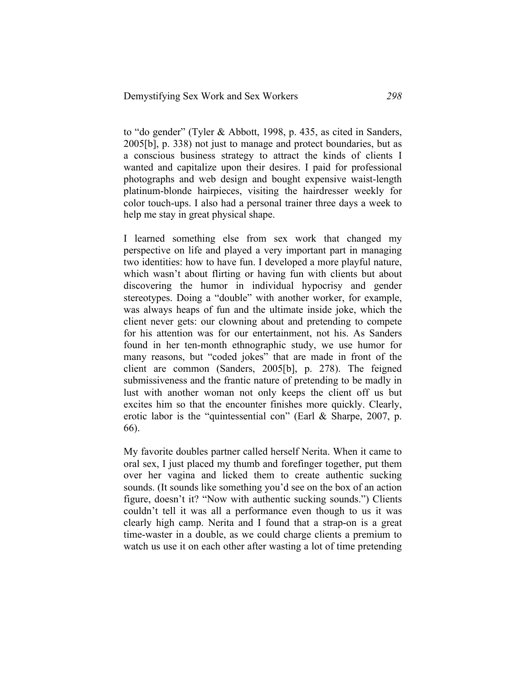to "do gender" (Tyler & Abbott, 1998, p. 435, as cited in Sanders, 2005[b], p. 338) not just to manage and protect boundaries, but as a conscious business strategy to attract the kinds of clients I wanted and capitalize upon their desires. I paid for professional photographs and web design and bought expensive waist-length platinum-blonde hairpieces, visiting the hairdresser weekly for color touch-ups. I also had a personal trainer three days a week to help me stay in great physical shape.

I learned something else from sex work that changed my perspective on life and played a very important part in managing two identities: how to have fun. I developed a more playful nature, which wasn't about flirting or having fun with clients but about discovering the humor in individual hypocrisy and gender stereotypes. Doing a "double" with another worker, for example, was always heaps of fun and the ultimate inside joke, which the client never gets: our clowning about and pretending to compete for his attention was for our entertainment, not his. As Sanders found in her ten-month ethnographic study, we use humor for many reasons, but "coded jokes" that are made in front of the client are common (Sanders, 2005[b], p. 278). The feigned submissiveness and the frantic nature of pretending to be madly in lust with another woman not only keeps the client off us but excites him so that the encounter finishes more quickly. Clearly, erotic labor is the "quintessential con" (Earl & Sharpe, 2007, p. 66).

My favorite doubles partner called herself Nerita. When it came to oral sex, I just placed my thumb and forefinger together, put them over her vagina and licked them to create authentic sucking sounds. (It sounds like something you'd see on the box of an action figure, doesn't it? "Now with authentic sucking sounds.") Clients couldn't tell it was all a performance even though to us it was clearly high camp. Nerita and I found that a strap-on is a great time-waster in a double, as we could charge clients a premium to watch us use it on each other after wasting a lot of time pretending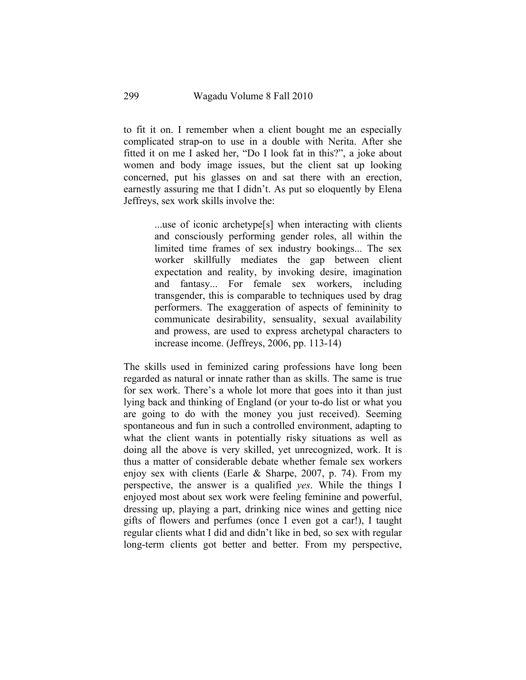to fit it on. I remember when a client bought me an especially complicated strap-on to use in a double with Nerita. After she fitted it on me I asked her, "Do I look fat in this?", a joke about women and body image issues, but the client sat up looking concerned, put his glasses on and sat there with an erection, earnestly assuring me that I didn't. As put so eloquently by Elena Jeffreys, sex work skills involve the:

> ...use of iconic archetype[s] when interacting with clients and consciously performing gender roles, all within the limited time frames of sex industry bookings... The sex worker skillfully mediates the gap between client expectation and reality, by invoking desire, imagination and fantasy... For female sex workers, including transgender, this is comparable to techniques used by drag performers. The exaggeration of aspects of femininity to communicate desirability, sensuality, sexual availability and prowess, are used to express archetypal characters to increase income. (Jeffreys, 2006, pp. 113-14)

The skills used in feminized caring professions have long been regarded as natural or innate rather than as skills. The same is true for sex work. There's a whole lot more that goes into it than just lying back and thinking of England (or your to-do list or what you are going to do with the money you just received). Seeming spontaneous and fun in such a controlled environment, adapting to what the client wants in potentially risky situations as well as doing all the above is very skilled, yet unrecognized, work. It is thus a matter of considerable debate whether female sex workers enjoy sex with clients (Earle & Sharpe, 2007, p. 74). From my perspective, the answer is a qualified *yes*. While the things I enjoyed most about sex work were feeling feminine and powerful, dressing up, playing a part, drinking nice wines and getting nice gifts of flowers and perfumes (once I even got a car!), I taught regular clients what I did and didn't like in bed, so sex with regular long-term clients got better and better. From my perspective,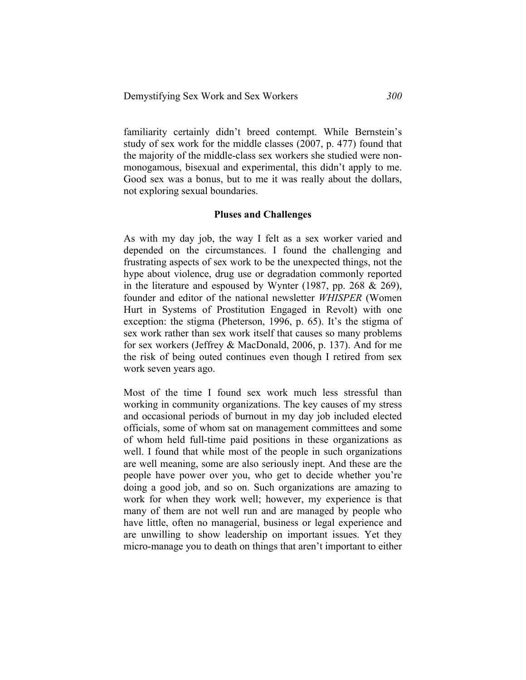familiarity certainly didn't breed contempt. While Bernstein's study of sex work for the middle classes (2007, p. 477) found that the majority of the middle-class sex workers she studied were nonmonogamous, bisexual and experimental, this didn't apply to me. Good sex was a bonus, but to me it was really about the dollars, not exploring sexual boundaries.

#### **Pluses and Challenges**

As with my day job, the way I felt as a sex worker varied and depended on the circumstances. I found the challenging and frustrating aspects of sex work to be the unexpected things, not the hype about violence, drug use or degradation commonly reported in the literature and espoused by Wynter (1987, pp. 268 & 269), founder and editor of the national newsletter *WHISPER* (Women Hurt in Systems of Prostitution Engaged in Revolt) with one exception: the stigma (Pheterson, 1996, p. 65). It's the stigma of sex work rather than sex work itself that causes so many problems for sex workers (Jeffrey & MacDonald, 2006, p. 137). And for me the risk of being outed continues even though I retired from sex work seven years ago.

Most of the time I found sex work much less stressful than working in community organizations. The key causes of my stress and occasional periods of burnout in my day job included elected officials, some of whom sat on management committees and some of whom held full-time paid positions in these organizations as well. I found that while most of the people in such organizations are well meaning, some are also seriously inept. And these are the people have power over you, who get to decide whether you're doing a good job, and so on. Such organizations are amazing to work for when they work well; however, my experience is that many of them are not well run and are managed by people who have little, often no managerial, business or legal experience and are unwilling to show leadership on important issues. Yet they micro-manage you to death on things that aren't important to either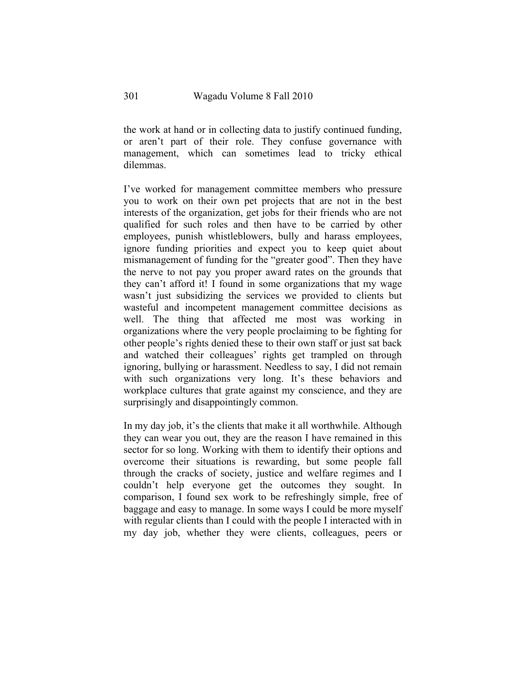the work at hand or in collecting data to justify continued funding, or aren't part of their role. They confuse governance with management, which can sometimes lead to tricky ethical dilemmas.

I've worked for management committee members who pressure you to work on their own pet projects that are not in the best interests of the organization, get jobs for their friends who are not qualified for such roles and then have to be carried by other employees, punish whistleblowers, bully and harass employees, ignore funding priorities and expect you to keep quiet about mismanagement of funding for the "greater good". Then they have the nerve to not pay you proper award rates on the grounds that they can't afford it! I found in some organizations that my wage wasn't just subsidizing the services we provided to clients but wasteful and incompetent management committee decisions as well. The thing that affected me most was working in organizations where the very people proclaiming to be fighting for other people's rights denied these to their own staff or just sat back and watched their colleagues' rights get trampled on through ignoring, bullying or harassment. Needless to say, I did not remain with such organizations very long. It's these behaviors and workplace cultures that grate against my conscience, and they are surprisingly and disappointingly common.

In my day job, it's the clients that make it all worthwhile. Although they can wear you out, they are the reason I have remained in this sector for so long. Working with them to identify their options and overcome their situations is rewarding, but some people fall through the cracks of society, justice and welfare regimes and I couldn't help everyone get the outcomes they sought. In comparison, I found sex work to be refreshingly simple, free of baggage and easy to manage. In some ways I could be more myself with regular clients than I could with the people I interacted with in my day job, whether they were clients, colleagues, peers or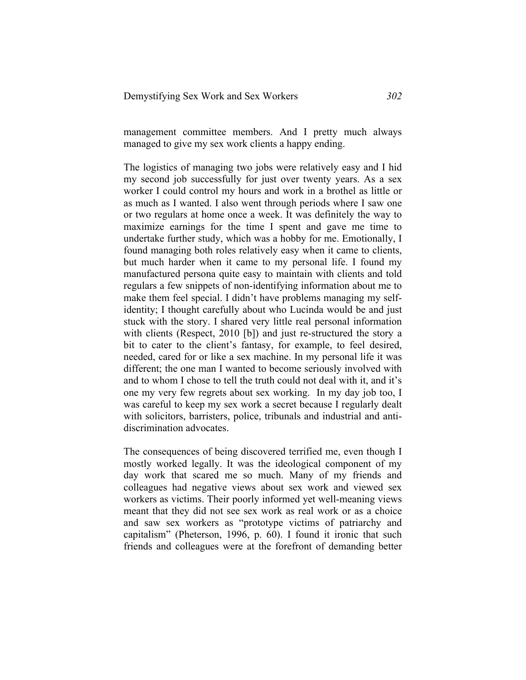management committee members. And I pretty much always managed to give my sex work clients a happy ending.

The logistics of managing two jobs were relatively easy and I hid my second job successfully for just over twenty years. As a sex worker I could control my hours and work in a brothel as little or as much as I wanted. I also went through periods where I saw one or two regulars at home once a week. It was definitely the way to maximize earnings for the time I spent and gave me time to undertake further study, which was a hobby for me. Emotionally, I found managing both roles relatively easy when it came to clients, but much harder when it came to my personal life. I found my manufactured persona quite easy to maintain with clients and told regulars a few snippets of non-identifying information about me to make them feel special. I didn't have problems managing my selfidentity; I thought carefully about who Lucinda would be and just stuck with the story. I shared very little real personal information with clients (Respect, 2010 [b]) and just re-structured the story a bit to cater to the client's fantasy, for example, to feel desired, needed, cared for or like a sex machine. In my personal life it was different; the one man I wanted to become seriously involved with and to whom I chose to tell the truth could not deal with it, and it's one my very few regrets about sex working. In my day job too, I was careful to keep my sex work a secret because I regularly dealt with solicitors, barristers, police, tribunals and industrial and antidiscrimination advocates.

The consequences of being discovered terrified me, even though I mostly worked legally. It was the ideological component of my day work that scared me so much. Many of my friends and colleagues had negative views about sex work and viewed sex workers as victims. Their poorly informed yet well-meaning views meant that they did not see sex work as real work or as a choice and saw sex workers as "prototype victims of patriarchy and capitalism" (Pheterson, 1996, p. 60). I found it ironic that such friends and colleagues were at the forefront of demanding better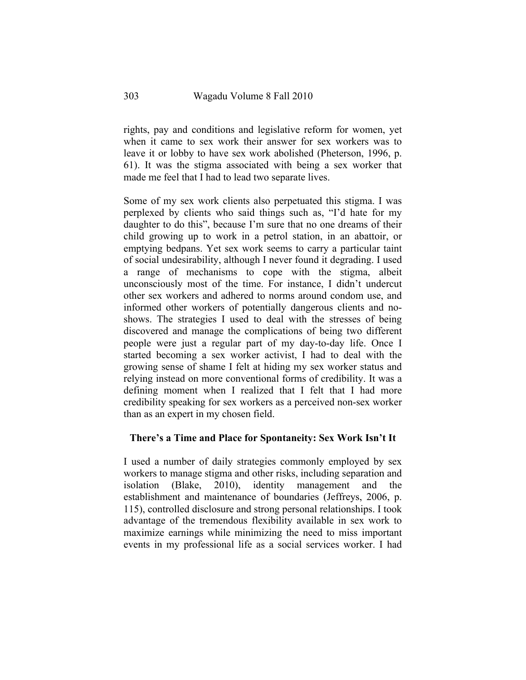rights, pay and conditions and legislative reform for women, yet when it came to sex work their answer for sex workers was to leave it or lobby to have sex work abolished (Pheterson, 1996, p. 61). It was the stigma associated with being a sex worker that made me feel that I had to lead two separate lives.

Some of my sex work clients also perpetuated this stigma. I was perplexed by clients who said things such as, "I'd hate for my daughter to do this", because I'm sure that no one dreams of their child growing up to work in a petrol station, in an abattoir, or emptying bedpans. Yet sex work seems to carry a particular taint of social undesirability, although I never found it degrading. I used a range of mechanisms to cope with the stigma, albeit unconsciously most of the time. For instance, I didn't undercut other sex workers and adhered to norms around condom use, and informed other workers of potentially dangerous clients and noshows. The strategies I used to deal with the stresses of being discovered and manage the complications of being two different people were just a regular part of my day-to-day life. Once I started becoming a sex worker activist, I had to deal with the growing sense of shame I felt at hiding my sex worker status and relying instead on more conventional forms of credibility. It was a defining moment when I realized that I felt that I had more credibility speaking for sex workers as a perceived non-sex worker than as an expert in my chosen field.

### **There's a Time and Place for Spontaneity: Sex Work Isn't It**

I used a number of daily strategies commonly employed by sex workers to manage stigma and other risks, including separation and isolation (Blake, 2010), identity management and the establishment and maintenance of boundaries (Jeffreys, 2006, p. 115), controlled disclosure and strong personal relationships. I took advantage of the tremendous flexibility available in sex work to maximize earnings while minimizing the need to miss important events in my professional life as a social services worker. I had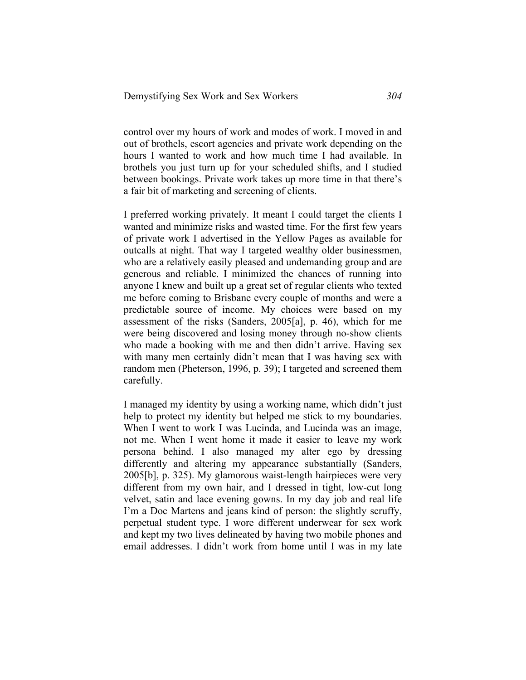control over my hours of work and modes of work. I moved in and out of brothels, escort agencies and private work depending on the hours I wanted to work and how much time I had available. In brothels you just turn up for your scheduled shifts, and I studied between bookings. Private work takes up more time in that there's a fair bit of marketing and screening of clients.

I preferred working privately. It meant I could target the clients I wanted and minimize risks and wasted time. For the first few years of private work I advertised in the Yellow Pages as available for outcalls at night. That way I targeted wealthy older businessmen, who are a relatively easily pleased and undemanding group and are generous and reliable. I minimized the chances of running into anyone I knew and built up a great set of regular clients who texted me before coming to Brisbane every couple of months and were a predictable source of income. My choices were based on my assessment of the risks (Sanders, 2005[a], p. 46), which for me were being discovered and losing money through no-show clients who made a booking with me and then didn't arrive. Having sex with many men certainly didn't mean that I was having sex with random men (Pheterson, 1996, p. 39); I targeted and screened them carefully.

I managed my identity by using a working name, which didn't just help to protect my identity but helped me stick to my boundaries. When I went to work I was Lucinda, and Lucinda was an image, not me. When I went home it made it easier to leave my work persona behind. I also managed my alter ego by dressing differently and altering my appearance substantially (Sanders, 2005[b], p. 325). My glamorous waist-length hairpieces were very different from my own hair, and I dressed in tight, low-cut long velvet, satin and lace evening gowns. In my day job and real life I'm a Doc Martens and jeans kind of person: the slightly scruffy, perpetual student type. I wore different underwear for sex work and kept my two lives delineated by having two mobile phones and email addresses. I didn't work from home until I was in my late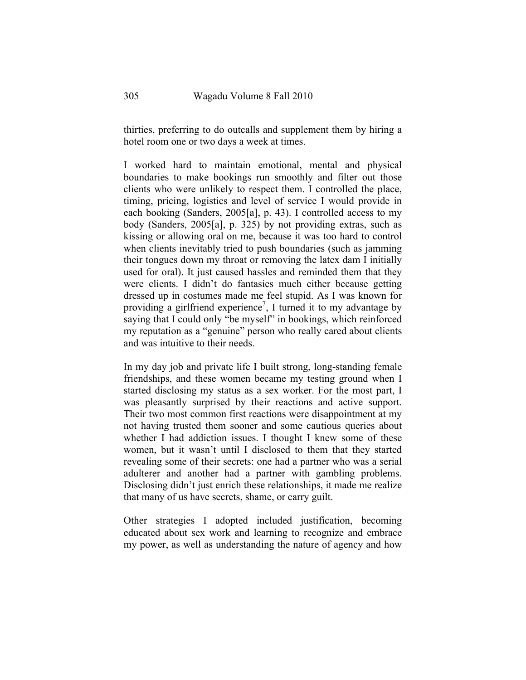thirties, preferring to do outcalls and supplement them by hiring a hotel room one or two days a week at times.

I worked hard to maintain emotional, mental and physical boundaries to make bookings run smoothly and filter out those clients who were unlikely to respect them. I controlled the place, timing, pricing, logistics and level of service I would provide in each booking (Sanders, 2005[a], p. 43). I controlled access to my body (Sanders, 2005[a], p. 325) by not providing extras, such as kissing or allowing oral on me, because it was too hard to control when clients inevitably tried to push boundaries (such as jamming their tongues down my throat or removing the latex dam I initially used for oral). It just caused hassles and reminded them that they were clients. I didn't do fantasies much either because getting dressed up in costumes made me feel stupid. As I was known for providing a girlfriend experience<sup>7</sup>, I turned it to my advantage by saying that I could only "be myself" in bookings, which reinforced my reputation as a "genuine" person who really cared about clients and was intuitive to their needs.

In my day job and private life I built strong, long-standing female friendships, and these women became my testing ground when I started disclosing my status as a sex worker. For the most part, I was pleasantly surprised by their reactions and active support. Their two most common first reactions were disappointment at my not having trusted them sooner and some cautious queries about whether I had addiction issues. I thought I knew some of these women, but it wasn't until I disclosed to them that they started revealing some of their secrets: one had a partner who was a serial adulterer and another had a partner with gambling problems. Disclosing didn't just enrich these relationships, it made me realize that many of us have secrets, shame, or carry guilt.

Other strategies I adopted included justification, becoming educated about sex work and learning to recognize and embrace my power, as well as understanding the nature of agency and how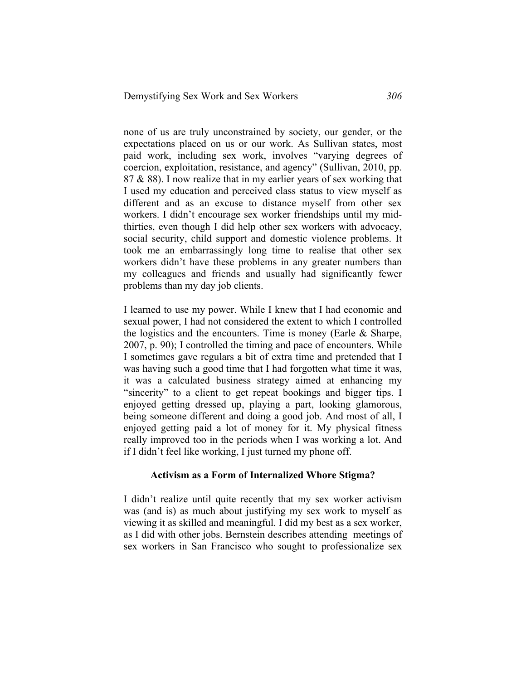none of us are truly unconstrained by society, our gender, or the expectations placed on us or our work. As Sullivan states, most paid work, including sex work, involves "varying degrees of coercion, exploitation, resistance, and agency" (Sullivan, 2010, pp.  $87 \& 88$ ). I now realize that in my earlier years of sex working that I used my education and perceived class status to view myself as different and as an excuse to distance myself from other sex workers. I didn't encourage sex worker friendships until my midthirties, even though I did help other sex workers with advocacy, social security, child support and domestic violence problems. It took me an embarrassingly long time to realise that other sex workers didn't have these problems in any greater numbers than my colleagues and friends and usually had significantly fewer problems than my day job clients.

I learned to use my power. While I knew that I had economic and sexual power, I had not considered the extent to which I controlled the logistics and the encounters. Time is money (Earle & Sharpe, 2007, p. 90); I controlled the timing and pace of encounters. While I sometimes gave regulars a bit of extra time and pretended that I was having such a good time that I had forgotten what time it was, it was a calculated business strategy aimed at enhancing my "sincerity" to a client to get repeat bookings and bigger tips. I enjoyed getting dressed up, playing a part, looking glamorous, being someone different and doing a good job. And most of all, I enjoyed getting paid a lot of money for it. My physical fitness really improved too in the periods when I was working a lot. And if I didn't feel like working, I just turned my phone off.

### **Activism as a Form of Internalized Whore Stigma?**

I didn't realize until quite recently that my sex worker activism was (and is) as much about justifying my sex work to myself as viewing it as skilled and meaningful. I did my best as a sex worker, as I did with other jobs. Bernstein describes attending meetings of sex workers in San Francisco who sought to professionalize sex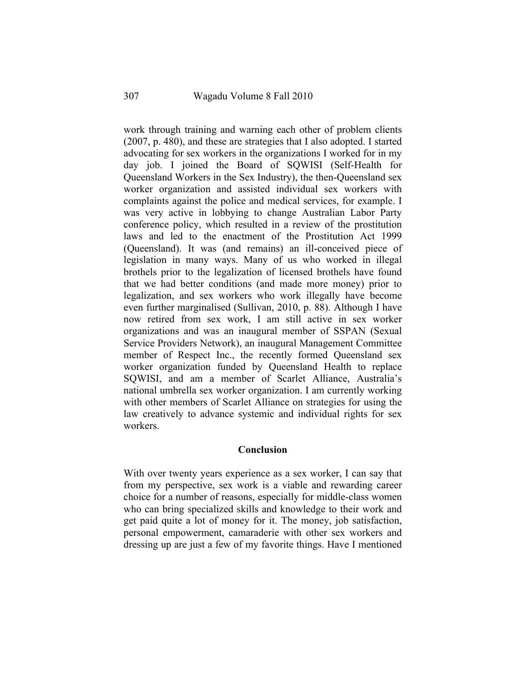work through training and warning each other of problem clients (2007, p. 480), and these are strategies that I also adopted. I started advocating for sex workers in the organizations I worked for in my day job. I joined the Board of SQWISI (Self-Health for Queensland Workers in the Sex Industry), the then-Queensland sex worker organization and assisted individual sex workers with complaints against the police and medical services, for example. I was very active in lobbying to change Australian Labor Party conference policy, which resulted in a review of the prostitution laws and led to the enactment of the Prostitution Act 1999 (Queensland). It was (and remains) an ill-conceived piece of legislation in many ways. Many of us who worked in illegal brothels prior to the legalization of licensed brothels have found that we had better conditions (and made more money) prior to legalization, and sex workers who work illegally have become even further marginalised (Sullivan, 2010, p. 88). Although I have now retired from sex work, I am still active in sex worker organizations and was an inaugural member of SSPAN (Sexual Service Providers Network), an inaugural Management Committee member of Respect Inc., the recently formed Queensland sex worker organization funded by Queensland Health to replace SQWISI, and am a member of Scarlet Alliance, Australia's national umbrella sex worker organization. I am currently working with other members of Scarlet Alliance on strategies for using the law creatively to advance systemic and individual rights for sex workers.

#### **Conclusion**

With over twenty years experience as a sex worker, I can say that from my perspective, sex work is a viable and rewarding career choice for a number of reasons, especially for middle-class women who can bring specialized skills and knowledge to their work and get paid quite a lot of money for it. The money, job satisfaction, personal empowerment, camaraderie with other sex workers and dressing up are just a few of my favorite things. Have I mentioned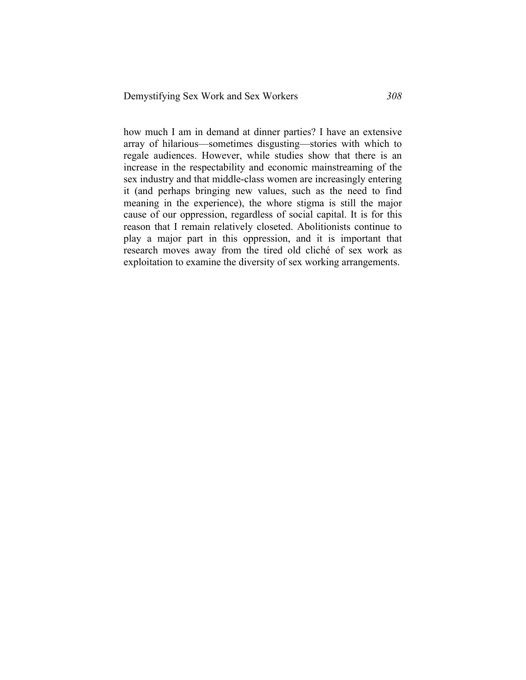how much I am in demand at dinner parties? I have an extensive array of hilarious—sometimes disgusting—stories with which to regale audiences. However, while studies show that there is an increase in the respectability and economic mainstreaming of the sex industry and that middle-class women are increasingly entering it (and perhaps bringing new values, such as the need to find meaning in the experience), the whore stigma is still the major cause of our oppression, regardless of social capital. It is for this reason that I remain relatively closeted. Abolitionists continue to play a major part in this oppression, and it is important that research moves away from the tired old cliché of sex work as exploitation to examine the diversity of sex working arrangements.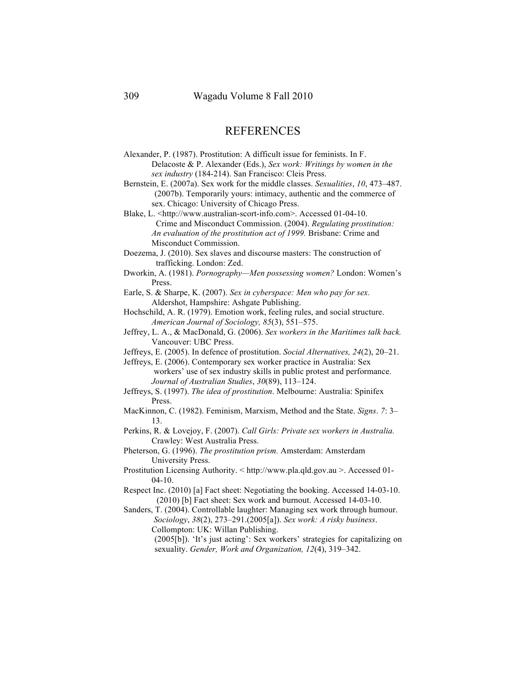## **REFERENCES**

Alexander, P. (1987). Prostitution: A difficult issue for feminists. In F. Delacoste & P. Alexander (Eds.), *Sex work: Writings by women in the sex industry* (184-214). San Francisco: Cleis Press.

Bernstein, E. (2007a). Sex work for the middle classes. *Sexualities*, *10*, 473–487. (2007b). Temporarily yours: intimacy, authentic and the commerce of sex. Chicago: University of Chicago Press.

Blake, L. <http://www.australian-scort-info.com>. Accessed 01-04-10. Crime and Misconduct Commission. (2004). *Regulating prostitution: An evaluation of the prostitution act of 1999.* Brisbane: Crime and Misconduct Commission.

Doezema, J. (2010). Sex slaves and discourse masters: The construction of trafficking. London: Zed.

Dworkin, A. (1981). *Pornography—Men possessing women?* London: Women's Press.

Earle, S. & Sharpe, K. (2007). *Sex in cyberspace: Men who pay for sex.* Aldershot, Hampshire: Ashgate Publishing.

Hochschild, A. R. (1979). Emotion work, feeling rules, and social structure. *American Journal of Sociology, 85*(3), 551–575.

- Jeffrey, L. A., & MacDonald, G. (2006). *Sex workers in the Maritimes talk back.* Vancouver: UBC Press.
- Jeffreys, E. (2005). In defence of prostitution. *Social Alternatives, 24*(2), 20–21.

Jeffreys, E. (2006). Contemporary sex worker practice in Australia: Sex workers' use of sex industry skills in public protest and performance. *Journal of Australian Studies*, *30*(89), 113–124.

- Jeffreys, S. (1997). *The idea of prostitution*. Melbourne: Australia: Spinifex Press.
- MacKinnon, C. (1982). Feminism, Marxism, Method and the State. *Signs*. *7*: 3– 13.

Perkins, R. & Lovejoy, F. (2007). *Call Girls: Private sex workers in Australia.* Crawley: West Australia Press.

Pheterson, G. (1996). *The prostitution prism.* Amsterdam: Amsterdam University Press.

- Prostitution Licensing Authority. < http://www.pla.qld.gov.au >. Accessed 01- 04-10.
- Respect Inc. (2010) [a] Fact sheet: Negotiating the booking. Accessed 14-03-10. (2010) [b] Fact sheet: Sex work and burnout. Accessed 14-03-10.

Sanders, T. (2004). Controllable laughter: Managing sex work through humour. *Sociology*, *38*(2), 273–291.(2005[a]). *Sex work: A risky business*. Collompton: UK: Willan Publishing.

> (2005[b]). 'It's just acting': Sex workers' strategies for capitalizing on sexuality. *Gender, Work and Organization, 12*(4), 319–342.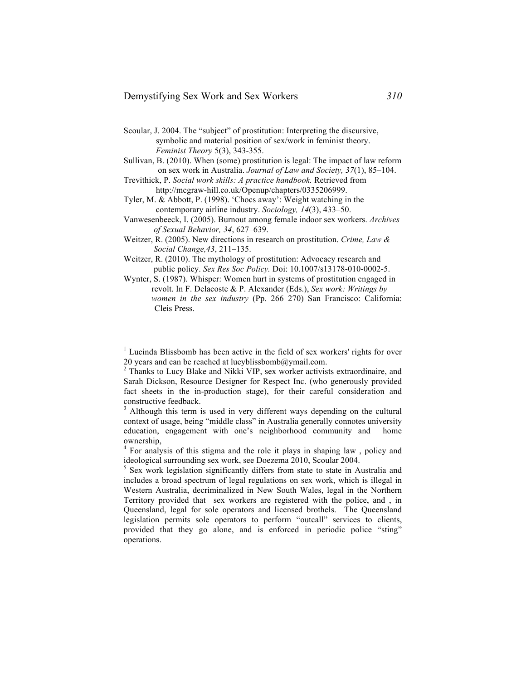- Scoular, J. 2004. The "subject" of prostitution: Interpreting the discursive, symbolic and material position of sex/work in feminist theory. *Feminist Theory* 5(3), 343-355.
- Sullivan, B. (2010). When (some) prostitution is legal: The impact of law reform on sex work in Australia. *Journal of Law and Society, 37*(1), 85–104.
- Trevithick, P. *Social work skills: A practice handbook.* Retrieved from http://mcgraw-hill.co.uk/Openup/chapters/0335206999.
- Tyler, M. & Abbott, P. (1998). 'Chocs away': Weight watching in the contemporary airline industry. *Sociology, 14*(3), 433–50.
- Vanwesenbeeck, I. (2005). Burnout among female indoor sex workers. *Archives of Sexual Behavior, 34*, 627–639.
- Weitzer, R. (2005). New directions in research on prostitution. *Crime, Law & Social Change,43*, 211–135.
- Weitzer, R. (2010). The mythology of prostitution: Advocacy research and public policy. *Sex Res Soc Policy.* Doi: 10.1007/s13178-010-0002-5.
- Wynter, S. (1987). Whisper: Women hurt in systems of prostitution engaged in revolt. In F. Delacoste & P. Alexander (Eds.), *Sex work: Writings by women in the sex industry* (Pp. 266–270) San Francisco: California: Cleis Press.

<sup>&</sup>lt;sup>1</sup> Lucinda Blissbomb has been active in the field of sex workers' rights for over 20 years and can be reached at lucyblissbomb $@$ ymail.com.

<sup>&</sup>lt;sup>2</sup> Thanks to Lucy Blake and Nikki VIP, sex worker activists extraordinaire, and Sarah Dickson, Resource Designer for Respect Inc. (who generously provided fact sheets in the in-production stage), for their careful consideration and constructive feedback.

 $3$  Although this term is used in very different ways depending on the cultural context of usage, being "middle class" in Australia generally connotes university education, engagement with one's neighborhood community and home ownership,

<sup>&</sup>lt;sup>4</sup> For analysis of this stigma and the role it plays in shaping law, policy and ideological surrounding sex work, see Doezema 2010, Scoular 2004.

<sup>&</sup>lt;sup>5</sup> Sex work legislation significantly differs from state to state in Australia and includes a broad spectrum of legal regulations on sex work, which is illegal in Western Australia, decriminalized in New South Wales, legal in the Northern Territory provided that sex workers are registered with the police, and , in Queensland, legal for sole operators and licensed brothels. The Queensland legislation permits sole operators to perform "outcall" services to clients, provided that they go alone, and is enforced in periodic police "sting" operations.